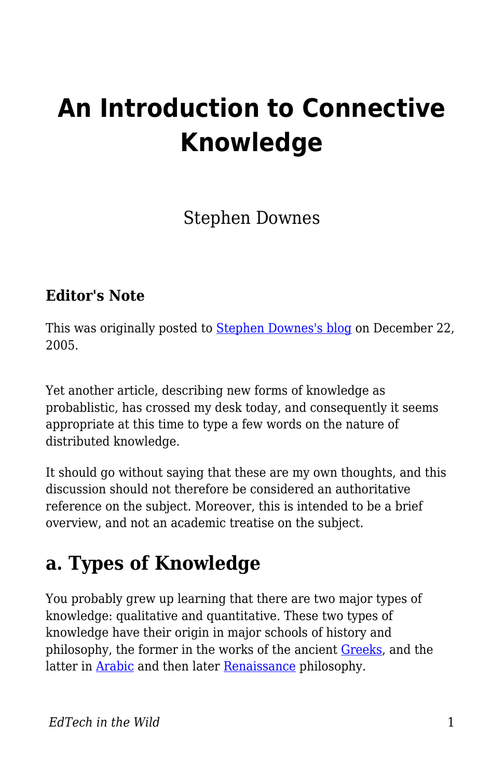# **An Introduction to Connective Knowledge**

Stephen Downes

#### **Editor's Note**

This was originally posted to **Stephen Downes's blog on** December 22, 2005.

Yet another article, describing new forms of knowledge as probablistic, has crossed my desk today, and consequently it seems appropriate at this time to type a few words on the nature of distributed knowledge.

It should go without saying that these are my own thoughts, and this discussion should not therefore be considered an authoritative reference on the subject. Moreover, this is intended to be a brief overview, and not an academic treatise on the subject.

#### **a. Types of Knowledge**

You probably grew up learning that there are two major types of knowledge: qualitative and quantitative. These two types of knowledge have their origin in major schools of history and philosophy, the former in the works of the ancient [Greeks](http://en.wikipedia.org/wiki/Aristotle), and the latter in [Arabic](http://en.wikipedia.org/wiki/Arabic_numerals) and then later [Renaissance](http://en.wikipedia.org/wiki/Descartes) philosophy.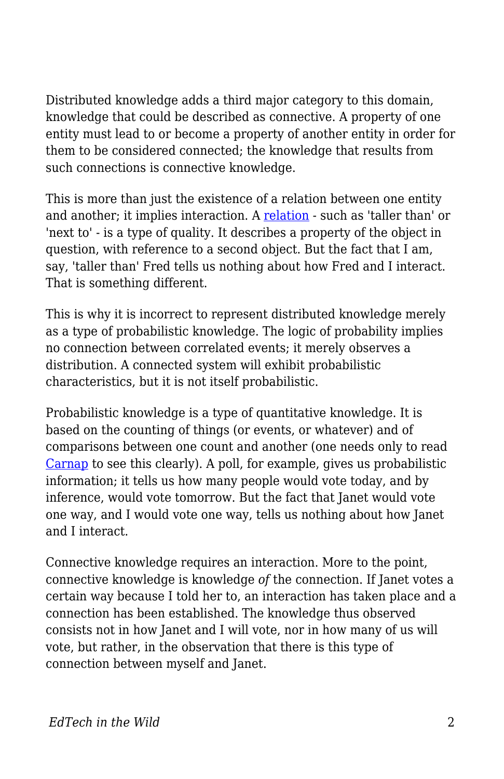Distributed knowledge adds a third major category to this domain, knowledge that could be described as connective. A property of one entity must lead to or become a property of another entity in order for them to be considered connected; the knowledge that results from such connections is connective knowledge.

This is more than just the existence of a relation between one entity and another; it implies interaction. A [relation](http://en.wikipedia.org/wiki/Relation) - such as 'taller than' or 'next to' - is a type of quality. It describes a property of the object in question, with reference to a second object. But the fact that I am, say, 'taller than' Fred tells us nothing about how Fred and I interact. That is something different.

This is why it is incorrect to represent distributed knowledge merely as a type of probabilistic knowledge. The logic of probability implies no connection between correlated events; it merely observes a distribution. A connected system will exhibit probabilistic characteristics, but it is not itself probabilistic.

Probabilistic knowledge is a type of quantitative knowledge. It is based on the counting of things (or events, or whatever) and of comparisons between one count and another (one needs only to read [Carnap](http://www.amazon.com/gp/product/B0006P9S8Y/qid=1135300010/sr=8-2/ref=sr_8_xs_ap_i2_xgl14/104-2666027-6354322?n=507846&s=books&v=glance) to see this clearly). A poll, for example, gives us probabilistic information; it tells us how many people would vote today, and by inference, would vote tomorrow. But the fact that Janet would vote one way, and I would vote one way, tells us nothing about how Janet and I interact.

Connective knowledge requires an interaction. More to the point, connective knowledge is knowledge *of* the connection. If Janet votes a certain way because I told her to, an interaction has taken place and a connection has been established. The knowledge thus observed consists not in how Janet and I will vote, nor in how many of us will vote, but rather, in the observation that there is this type of connection between myself and Janet.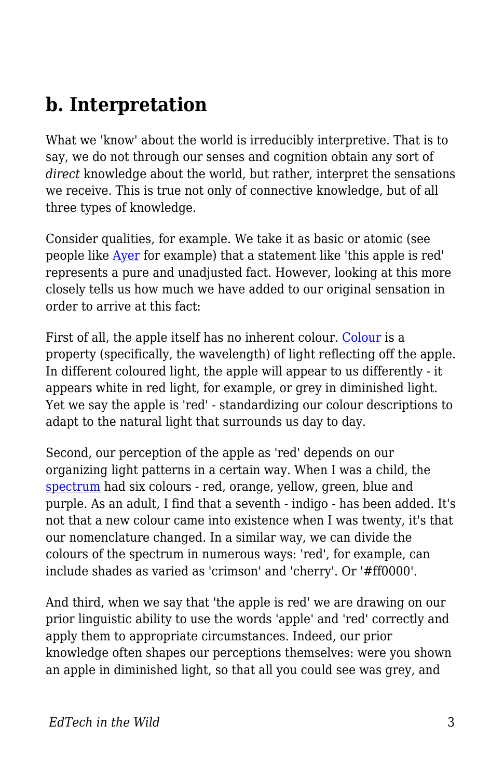#### **b. Interpretation**

What we 'know' about the world is irreducibly interpretive. That is to say, we do not through our senses and cognition obtain any sort of *direct* knowledge about the world, but rather, interpret the sensations we receive. This is true not only of connective knowledge, but of all three types of knowledge.

Consider qualities, for example. We take it as basic or atomic (see people like [Ayer](http://en.wikipedia.org/wiki/A._J._Ayer) for example) that a statement like 'this apple is red' represents a pure and unadjusted fact. However, looking at this more closely tells us how much we have added to our original sensation in order to arrive at this fact:

First of all, the apple itself has no inherent colour. [Colour](http://www.amonline.net.au/colour/) is a property (specifically, the wavelength) of light reflecting off the apple. In different coloured light, the apple will appear to us differently - it appears white in red light, for example, or grey in diminished light. Yet we say the apple is 'red' - standardizing our colour descriptions to adapt to the natural light that surrounds us day to day.

Second, our perception of the apple as 'red' depends on our organizing light patterns in a certain way. When I was a child, the [spectrum](http://en.wikipedia.org/wiki/Optical_spectrum) had six colours - red, orange, yellow, green, blue and purple. As an adult, I find that a seventh - indigo - has been added. It's not that a new colour came into existence when I was twenty, it's that our nomenclature changed. In a similar way, we can divide the colours of the spectrum in numerous ways: 'red', for example, can include shades as varied as 'crimson' and 'cherry'. Or '#ff0000'.

And third, when we say that 'the apple is red' we are drawing on our prior linguistic ability to use the words 'apple' and 'red' correctly and apply them to appropriate circumstances. Indeed, our prior knowledge often shapes our perceptions themselves: were you shown an apple in diminished light, so that all you could see was grey, and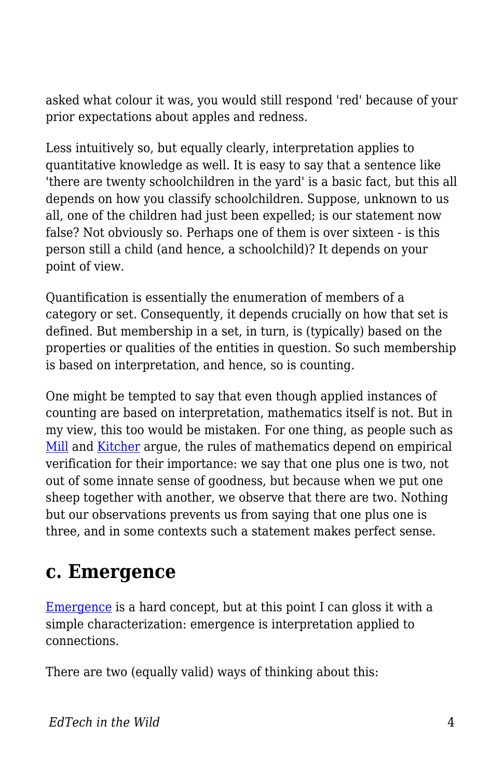asked what colour it was, you would still respond 'red' because of your prior expectations about apples and redness.

Less intuitively so, but equally clearly, interpretation applies to quantitative knowledge as well. It is easy to say that a sentence like 'there are twenty schoolchildren in the yard' is a basic fact, but this all depends on how you classify schoolchildren. Suppose, unknown to us all, one of the children had just been expelled; is our statement now false? Not obviously so. Perhaps one of them is over sixteen - is this person still a child (and hence, a schoolchild)? It depends on your point of view.

Quantification is essentially the enumeration of members of a category or set. Consequently, it depends crucially on how that set is defined. But membership in a set, in turn, is (typically) based on the properties or qualities of the entities in question. So such membership is based on interpretation, and hence, so is counting.

One might be tempted to say that even though applied instances of counting are based on interpretation, mathematics itself is not. But in my view, this too would be mistaken. For one thing, as people such as [Mill](http://www.amazon.com/gp/product/1410202526/qid=1135300332/sr=2-1/ref=pd_bbs_b_2_1/104-2666027-6354322?s=books&v=glance&n=283155) and [Kitcher](http://www.amazon.com/gp/product/0195035410/qid=1135300366/sr=2-1/ref=pd_bbs_b_2_1/104-2666027-6354322?s=books&v=glance&n=283155) argue, the rules of mathematics depend on empirical verification for their importance: we say that one plus one is two, not out of some innate sense of goodness, but because when we put one sheep together with another, we observe that there are two. Nothing but our observations prevents us from saying that one plus one is three, and in some contexts such a statement makes perfect sense.

#### **c. Emergence**

[Emergence](http://en.wikipedia.org/wiki/Emergence) is a hard concept, but at this point I can gloss it with a simple characterization: emergence is interpretation applied to connections.

There are two (equally valid) ways of thinking about this: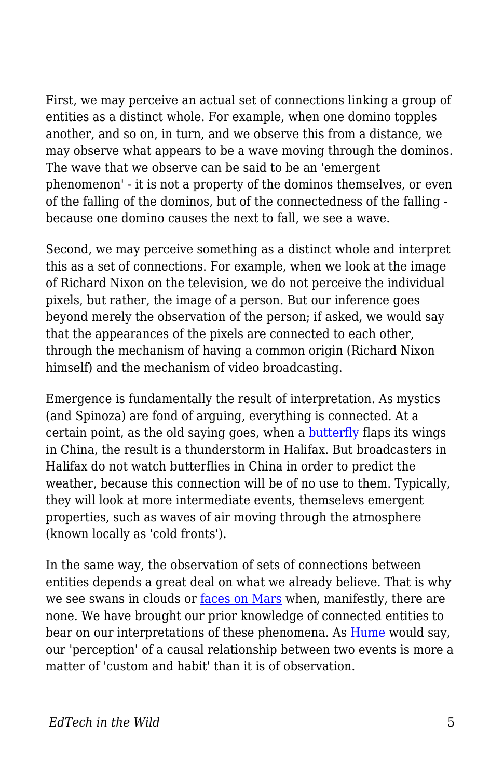First, we may perceive an actual set of connections linking a group of entities as a distinct whole. For example, when one domino topples another, and so on, in turn, and we observe this from a distance, we may observe what appears to be a wave moving through the dominos. The wave that we observe can be said to be an 'emergent phenomenon' - it is not a property of the dominos themselves, or even of the falling of the dominos, but of the connectedness of the falling because one domino causes the next to fall, we see a wave.

Second, we may perceive something as a distinct whole and interpret this as a set of connections. For example, when we look at the image of Richard Nixon on the television, we do not perceive the individual pixels, but rather, the image of a person. But our inference goes beyond merely the observation of the person; if asked, we would say that the appearances of the pixels are connected to each other, through the mechanism of having a common origin (Richard Nixon himself) and the mechanism of video broadcasting.

Emergence is fundamentally the result of interpretation. As mystics (and Spinoza) are fond of arguing, everything is connected. At a certain point, as the old saying goes, when a [butterfly](http://www.crystalinks.com/chaos.html) flaps its wings in China, the result is a thunderstorm in Halifax. But broadcasters in Halifax do not watch butterflies in China in order to predict the weather, because this connection will be of no use to them. Typically, they will look at more intermediate events, themselevs emergent properties, such as waves of air moving through the atmosphere (known locally as 'cold fronts').

In the same way, the observation of sets of connections between entities depends a great deal on what we already believe. That is why we see swans in clouds or [faces on Mars](http://science.nasa.gov/headlines/y2001/ast24may_1.htm) when, manifestly, there are none. We have brought our prior knowledge of connected entities to bear on our interpretations of these phenomena. As **Hume** would say, our 'perception' of a causal relationship between two events is more a matter of 'custom and habit' than it is of observation.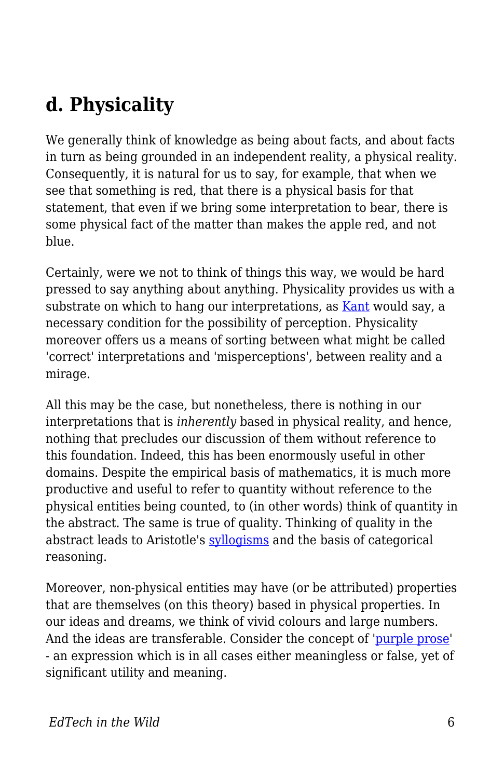### **d. Physicality**

We generally think of knowledge as being about facts, and about facts in turn as being grounded in an independent reality, a physical reality. Consequently, it is natural for us to say, for example, that when we see that something is red, that there is a physical basis for that statement, that even if we bring some interpretation to bear, there is some physical fact of the matter than makes the apple red, and not blue.

Certainly, were we not to think of things this way, we would be hard pressed to say anything about anything. Physicality provides us with a substrate on which to hang our interpretations, as [Kant](http://www.amazon.com/gp/product/0521657296/qid=1135300692/sr=2-1/ref=pd_bbs_b_2_1/104-2666027-6354322?s=books&v=glance&n=283155) would say, a necessary condition for the possibility of perception. Physicality moreover offers us a means of sorting between what might be called 'correct' interpretations and 'misperceptions', between reality and a mirage.

All this may be the case, but nonetheless, there is nothing in our interpretations that is *inherently* based in physical reality, and hence, nothing that precludes our discussion of them without reference to this foundation. Indeed, this has been enormously useful in other domains. Despite the empirical basis of mathematics, it is much more productive and useful to refer to quantity without reference to the physical entities being counted, to (in other words) think of quantity in the abstract. The same is true of quality. Thinking of quality in the abstract leads to Aristotle's [syllogisms](http://www.philosophypages.com/lg/e08a.htm) and the basis of categorical reasoning.

Moreover, non-physical entities may have (or be attributed) properties that are themselves (on this theory) based in physical properties. In our ideas and dreams, we think of vivid colours and large numbers. And the ideas are transferable. Consider the concept of '[purple prose](http://www.debstover.com/purple.html)' - an expression which is in all cases either meaningless or false, yet of significant utility and meaning.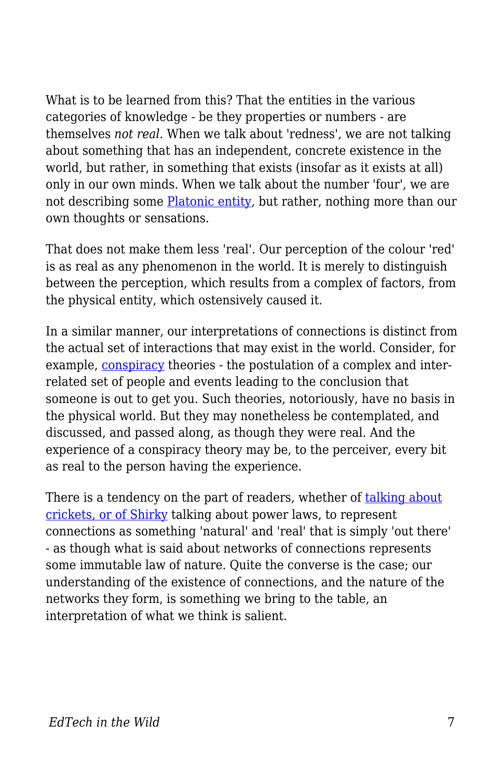What is to be learned from this? That the entities in the various categories of knowledge - be they properties or numbers - are themselves *not real*. When we talk about 'redness', we are not talking about something that has an independent, concrete existence in the world, but rather, in something that exists (insofar as it exists at all) only in our own minds. When we talk about the number 'four', we are not describing some **Platonic entity**, but rather, nothing more than our own thoughts or sensations.

That does not make them less 'real'. Our perception of the colour 'red' is as real as any phenomenon in the world. It is merely to distinguish between the perception, which results from a complex of factors, from the physical entity, which ostensively caused it.

In a similar manner, our interpretations of connections is distinct from the actual set of interactions that may exist in the world. Consider, for example, [conspiracy](http://en.wikipedia.org/wiki/Conspiracy_theory) theories - the postulation of a complex and interrelated set of people and events leading to the conclusion that someone is out to get you. Such theories, notoriously, have no basis in the physical world. But they may nonetheless be contemplated, and discussed, and passed along, as though they were real. And the experience of a conspiracy theory may be, to the perceiver, every bit as real to the person having the experience.

There is a tendency on the part of readers, whether of [talking about](http://www.amazon.com/gp/product/0393041425/qid=1135301061/sr=2-1/ref=pd_bbs_b_2_1/104-2666027-6354322?s=books&v=glance&n=283155) [crickets, or of](http://www.amazon.com/gp/product/0393041425/qid=1135301061/sr=2-1/ref=pd_bbs_b_2_1/104-2666027-6354322?s=books&v=glance&n=283155) [Shirky](http://www.shirky.com/writings/powerlaw_weblog.html) talking about power laws, to represent connections as something 'natural' and 'real' that is simply 'out there' - as though what is said about networks of connections represents some immutable law of nature. Quite the converse is the case; our understanding of the existence of connections, and the nature of the networks they form, is something we bring to the table, an interpretation of what we think is salient.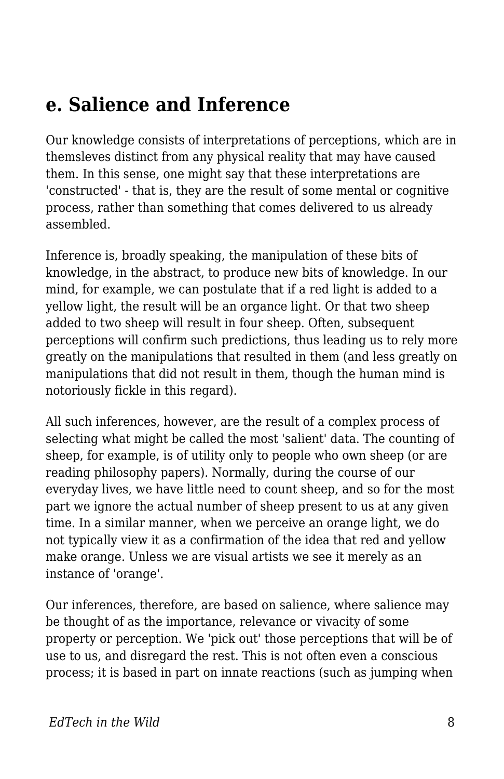#### **e. Salience and Inference**

Our knowledge consists of interpretations of perceptions, which are in themsleves distinct from any physical reality that may have caused them. In this sense, one might say that these interpretations are 'constructed' - that is, they are the result of some mental or cognitive process, rather than something that comes delivered to us already assembled.

Inference is, broadly speaking, the manipulation of these bits of knowledge, in the abstract, to produce new bits of knowledge. In our mind, for example, we can postulate that if a red light is added to a yellow light, the result will be an organce light. Or that two sheep added to two sheep will result in four sheep. Often, subsequent perceptions will confirm such predictions, thus leading us to rely more greatly on the manipulations that resulted in them (and less greatly on manipulations that did not result in them, though the human mind is notoriously fickle in this regard).

All such inferences, however, are the result of a complex process of selecting what might be called the most 'salient' data. The counting of sheep, for example, is of utility only to people who own sheep (or are reading philosophy papers). Normally, during the course of our everyday lives, we have little need to count sheep, and so for the most part we ignore the actual number of sheep present to us at any given time. In a similar manner, when we perceive an orange light, we do not typically view it as a confirmation of the idea that red and yellow make orange. Unless we are visual artists we see it merely as an instance of 'orange'.

Our inferences, therefore, are based on salience, where salience may be thought of as the importance, relevance or vivacity of some property or perception. We 'pick out' those perceptions that will be of use to us, and disregard the rest. This is not often even a conscious process; it is based in part on innate reactions (such as jumping when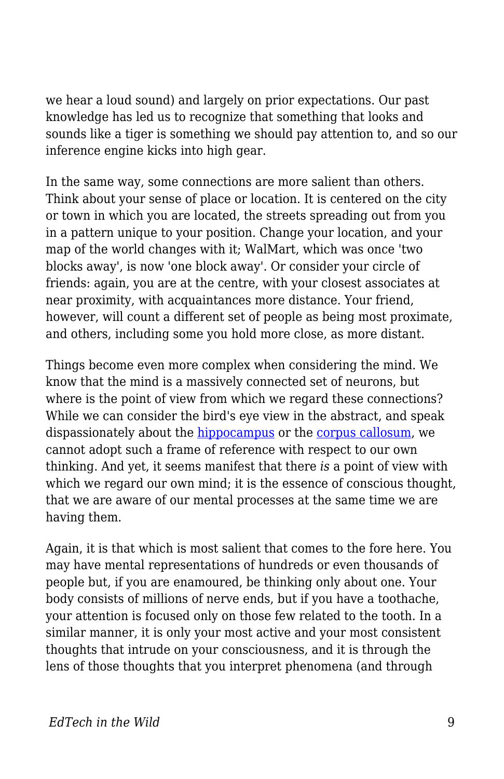we hear a loud sound) and largely on prior expectations. Our past knowledge has led us to recognize that something that looks and sounds like a tiger is something we should pay attention to, and so our inference engine kicks into high gear.

In the same way, some connections are more salient than others. Think about your sense of place or location. It is centered on the city or town in which you are located, the streets spreading out from you in a pattern unique to your position. Change your location, and your map of the world changes with it; WalMart, which was once 'two blocks away', is now 'one block away'. Or consider your circle of friends: again, you are at the centre, with your closest associates at near proximity, with acquaintances more distance. Your friend, however, will count a different set of people as being most proximate, and others, including some you hold more close, as more distant.

Things become even more complex when considering the mind. We know that the mind is a massively connected set of neurons, but where is the point of view from which we regard these connections? While we can consider the bird's eye view in the abstract, and speak dispassionately about the [hippocampus](http://www.psycheducation.org/emotion/hippocampus.htm) or the [corpus callosum](http://www.indiana.edu/~pietsch/callosum.html), we cannot adopt such a frame of reference with respect to our own thinking. And yet, it seems manifest that there *is* a point of view with which we regard our own mind; it is the essence of conscious thought, that we are aware of our mental processes at the same time we are having them.

Again, it is that which is most salient that comes to the fore here. You may have mental representations of hundreds or even thousands of people but, if you are enamoured, be thinking only about one. Your body consists of millions of nerve ends, but if you have a toothache, your attention is focused only on those few related to the tooth. In a similar manner, it is only your most active and your most consistent thoughts that intrude on your consciousness, and it is through the lens of those thoughts that you interpret phenomena (and through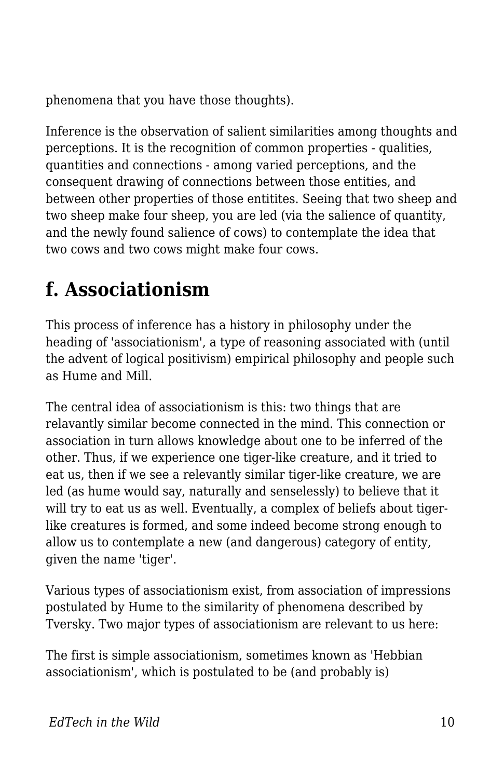phenomena that you have those thoughts).

Inference is the observation of salient similarities among thoughts and perceptions. It is the recognition of common properties - qualities, quantities and connections - among varied perceptions, and the consequent drawing of connections between those entities, and between other properties of those entitites. Seeing that two sheep and two sheep make four sheep, you are led (via the salience of quantity, and the newly found salience of cows) to contemplate the idea that two cows and two cows might make four cows.

### **f. Associationism**

This process of inference has a history in philosophy under the heading of 'associationism', a type of reasoning associated with (until the advent of logical positivism) empirical philosophy and people such as Hume and Mill.

The central idea of associationism is this: two things that are relavantly similar become connected in the mind. This connection or association in turn allows knowledge about one to be inferred of the other. Thus, if we experience one tiger-like creature, and it tried to eat us, then if we see a relevantly similar tiger-like creature, we are led (as hume would say, naturally and senselessly) to believe that it will try to eat us as well. Eventually, a complex of beliefs about tigerlike creatures is formed, and some indeed become strong enough to allow us to contemplate a new (and dangerous) category of entity, given the name 'tiger'.

Various types of associationism exist, from association of impressions postulated by Hume to the similarity of phenomena described by Tversky. Two major types of associationism are relevant to us here:

The first is simple associationism, sometimes known as 'Hebbian associationism', which is postulated to be (and probably is)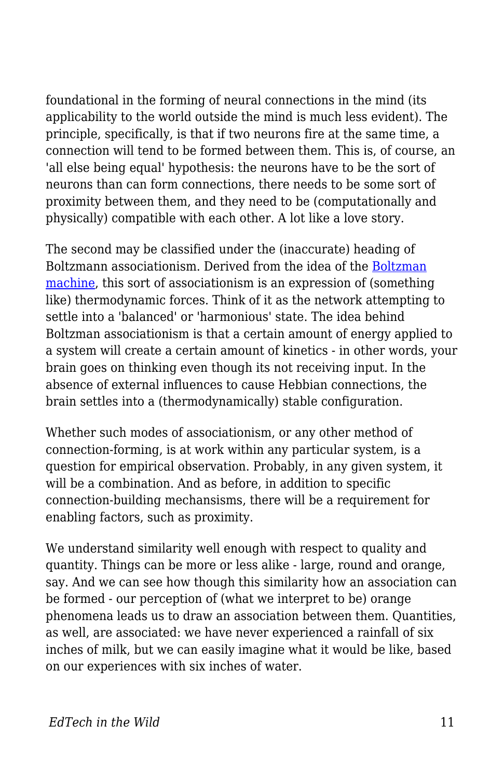foundational in the forming of neural connections in the mind (its applicability to the world outside the mind is much less evident). The principle, specifically, is that if two neurons fire at the same time, a connection will tend to be formed between them. This is, of course, an 'all else being equal' hypothesis: the neurons have to be the sort of neurons than can form connections, there needs to be some sort of proximity between them, and they need to be (computationally and physically) compatible with each other. A lot like a love story.

The second may be classified under the (inaccurate) heading of Boltzmann associationism. Derived from the idea of the [Boltzman](http://www.cs.hmc.edu/claremont/keller/152-slides/590.html) [machine,](http://www.cs.hmc.edu/claremont/keller/152-slides/590.html) this sort of associationism is an expression of (something like) thermodynamic forces. Think of it as the network attempting to settle into a 'balanced' or 'harmonious' state. The idea behind Boltzman associationism is that a certain amount of energy applied to a system will create a certain amount of kinetics - in other words, your brain goes on thinking even though its not receiving input. In the absence of external influences to cause Hebbian connections, the brain settles into a (thermodynamically) stable configuration.

Whether such modes of associationism, or any other method of connection-forming, is at work within any particular system, is a question for empirical observation. Probably, in any given system, it will be a combination. And as before, in addition to specific connection-building mechansisms, there will be a requirement for enabling factors, such as proximity.

We understand similarity well enough with respect to quality and quantity. Things can be more or less alike - large, round and orange, say. And we can see how though this similarity how an association can be formed - our perception of (what we interpret to be) orange phenomena leads us to draw an association between them. Quantities, as well, are associated: we have never experienced a rainfall of six inches of milk, but we can easily imagine what it would be like, based on our experiences with six inches of water.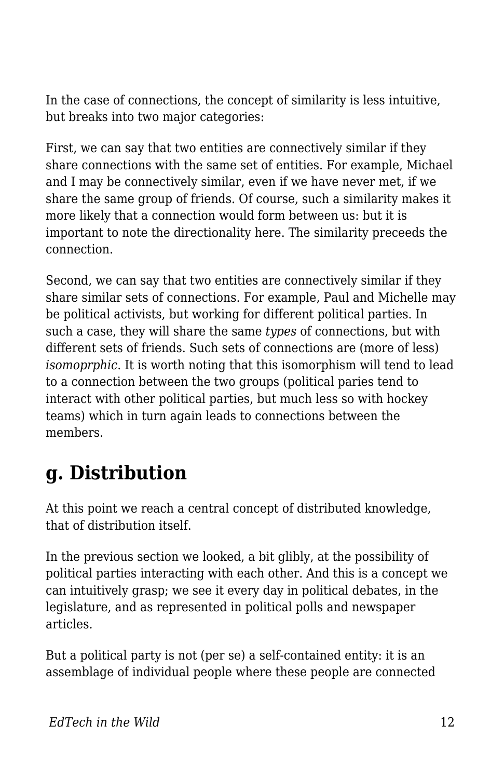In the case of connections, the concept of similarity is less intuitive, but breaks into two major categories:

First, we can say that two entities are connectively similar if they share connections with the same set of entities. For example, Michael and I may be connectively similar, even if we have never met, if we share the same group of friends. Of course, such a similarity makes it more likely that a connection would form between us: but it is important to note the directionality here. The similarity preceeds the connection.

Second, we can say that two entities are connectively similar if they share similar sets of connections. For example, Paul and Michelle may be political activists, but working for different political parties. In such a case, they will share the same *types* of connections, but with different sets of friends. Such sets of connections are (more of less) *isomoprphic*. It is worth noting that this isomorphism will tend to lead to a connection between the two groups (political paries tend to interact with other political parties, but much less so with hockey teams) which in turn again leads to connections between the members.

#### **g. Distribution**

At this point we reach a central concept of distributed knowledge, that of distribution itself.

In the previous section we looked, a bit glibly, at the possibility of political parties interacting with each other. And this is a concept we can intuitively grasp; we see it every day in political debates, in the legislature, and as represented in political polls and newspaper articles.

But a political party is not (per se) a self-contained entity: it is an assemblage of individual people where these people are connected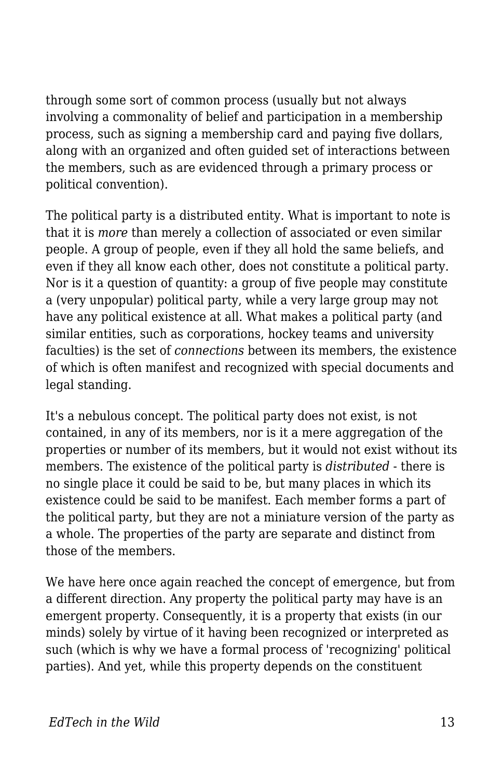through some sort of common process (usually but not always involving a commonality of belief and participation in a membership process, such as signing a membership card and paying five dollars, along with an organized and often guided set of interactions between the members, such as are evidenced through a primary process or political convention).

The political party is a distributed entity. What is important to note is that it is *more* than merely a collection of associated or even similar people. A group of people, even if they all hold the same beliefs, and even if they all know each other, does not constitute a political party. Nor is it a question of quantity: a group of five people may constitute a (very unpopular) political party, while a very large group may not have any political existence at all. What makes a political party (and similar entities, such as corporations, hockey teams and university faculties) is the set of *connections* between its members, the existence of which is often manifest and recognized with special documents and legal standing.

It's a nebulous concept. The political party does not exist, is not contained, in any of its members, nor is it a mere aggregation of the properties or number of its members, but it would not exist without its members. The existence of the political party is *distributed* - there is no single place it could be said to be, but many places in which its existence could be said to be manifest. Each member forms a part of the political party, but they are not a miniature version of the party as a whole. The properties of the party are separate and distinct from those of the members.

We have here once again reached the concept of emergence, but from a different direction. Any property the political party may have is an emergent property. Consequently, it is a property that exists (in our minds) solely by virtue of it having been recognized or interpreted as such (which is why we have a formal process of 'recognizing' political parties). And yet, while this property depends on the constituent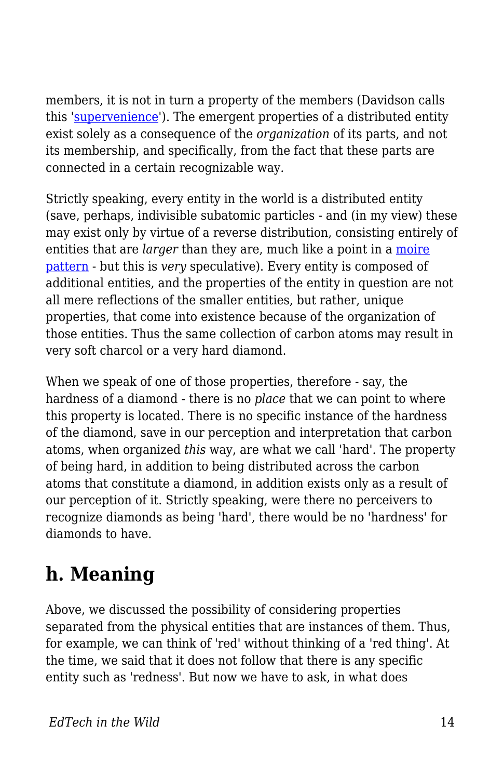members, it is not in turn a property of the members (Davidson calls this '[supervenience](http://www.artsci.wustl.edu/~philos/MindDict/supervenience.html)'). The emergent properties of a distributed entity exist solely as a consequence of the *organization* of its parts, and not its membership, and specifically, from the fact that these parts are connected in a certain recognizable way.

Strictly speaking, every entity in the world is a distributed entity (save, perhaps, indivisible subatomic particles - and (in my view) these may exist only by virtue of a reverse distribution, consisting entirely of entities that are *larger* than they are, much like a point in a [moire](http://www.exploratorium.edu/snacks/moire_patterns.html) [pattern](http://www.exploratorium.edu/snacks/moire_patterns.html) - but this is *very* speculative). Every entity is composed of additional entities, and the properties of the entity in question are not all mere reflections of the smaller entities, but rather, unique properties, that come into existence because of the organization of those entities. Thus the same collection of carbon atoms may result in very soft charcol or a very hard diamond.

When we speak of one of those properties, therefore - say, the hardness of a diamond - there is no *place* that we can point to where this property is located. There is no specific instance of the hardness of the diamond, save in our perception and interpretation that carbon atoms, when organized *this* way, are what we call 'hard'. The property of being hard, in addition to being distributed across the carbon atoms that constitute a diamond, in addition exists only as a result of our perception of it. Strictly speaking, were there no perceivers to recognize diamonds as being 'hard', there would be no 'hardness' for diamonds to have.

### **h. Meaning**

Above, we discussed the possibility of considering properties separated from the physical entities that are instances of them. Thus, for example, we can think of 'red' without thinking of a 'red thing'. At the time, we said that it does not follow that there is any specific entity such as 'redness'. But now we have to ask, in what does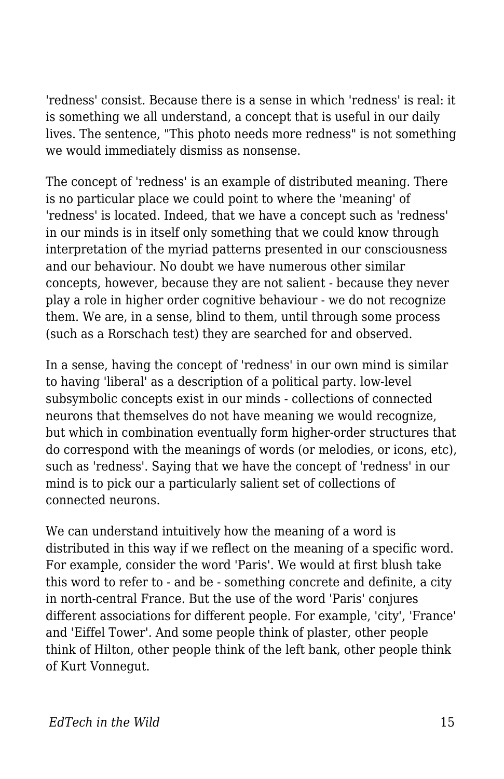'redness' consist. Because there is a sense in which 'redness' is real: it is something we all understand, a concept that is useful in our daily lives. The sentence, "This photo needs more redness" is not something we would immediately dismiss as nonsense.

The concept of 'redness' is an example of distributed meaning. There is no particular place we could point to where the 'meaning' of 'redness' is located. Indeed, that we have a concept such as 'redness' in our minds is in itself only something that we could know through interpretation of the myriad patterns presented in our consciousness and our behaviour. No doubt we have numerous other similar concepts, however, because they are not salient - because they never play a role in higher order cognitive behaviour - we do not recognize them. We are, in a sense, blind to them, until through some process (such as a Rorschach test) they are searched for and observed.

In a sense, having the concept of 'redness' in our own mind is similar to having 'liberal' as a description of a political party. low-level subsymbolic concepts exist in our minds - collections of connected neurons that themselves do not have meaning we would recognize, but which in combination eventually form higher-order structures that do correspond with the meanings of words (or melodies, or icons, etc), such as 'redness'. Saying that we have the concept of 'redness' in our mind is to pick our a particularly salient set of collections of connected neurons.

We can understand intuitively how the meaning of a word is distributed in this way if we reflect on the meaning of a specific word. For example, consider the word 'Paris'. We would at first blush take this word to refer to - and be - something concrete and definite, a city in north-central France. But the use of the word 'Paris' conjures different associations for different people. For example, 'city', 'France' and 'Eiffel Tower'. And some people think of plaster, other people think of Hilton, other people think of the left bank, other people think of Kurt Vonnegut.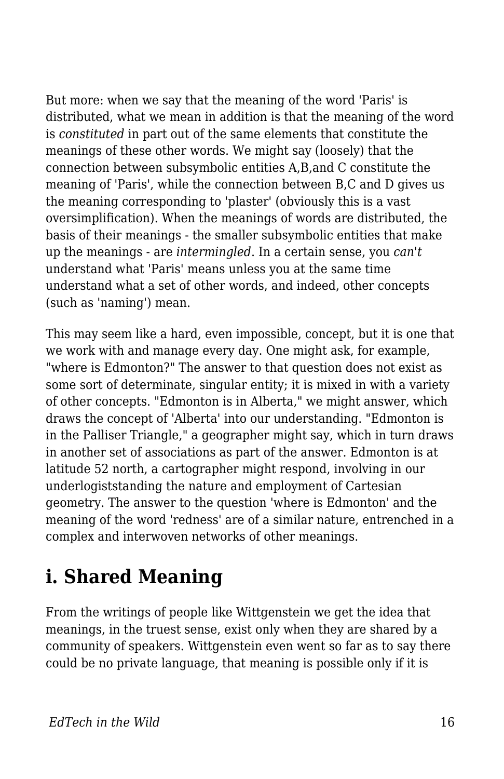But more: when we say that the meaning of the word 'Paris' is distributed, what we mean in addition is that the meaning of the word is *constituted* in part out of the same elements that constitute the meanings of these other words. We might say (loosely) that the connection between subsymbolic entities A,B,and C constitute the meaning of 'Paris', while the connection between B,C and D gives us the meaning corresponding to 'plaster' (obviously this is a vast oversimplification). When the meanings of words are distributed, the basis of their meanings - the smaller subsymbolic entities that make up the meanings - are *intermingled*. In a certain sense, you *can't* understand what 'Paris' means unless you at the same time understand what a set of other words, and indeed, other concepts (such as 'naming') mean.

This may seem like a hard, even impossible, concept, but it is one that we work with and manage every day. One might ask, for example, "where is Edmonton?" The answer to that question does not exist as some sort of determinate, singular entity; it is mixed in with a variety of other concepts. "Edmonton is in Alberta," we might answer, which draws the concept of 'Alberta' into our understanding. "Edmonton is in the Palliser Triangle," a geographer might say, which in turn draws in another set of associations as part of the answer. Edmonton is at latitude 52 north, a cartographer might respond, involving in our underlogiststanding the nature and employment of Cartesian geometry. The answer to the question 'where is Edmonton' and the meaning of the word 'redness' are of a similar nature, entrenched in a complex and interwoven networks of other meanings.

#### **i. Shared Meaning**

From the writings of people like Wittgenstein we get the idea that meanings, in the truest sense, exist only when they are shared by a community of speakers. Wittgenstein even went so far as to say there could be no private language, that meaning is possible only if it is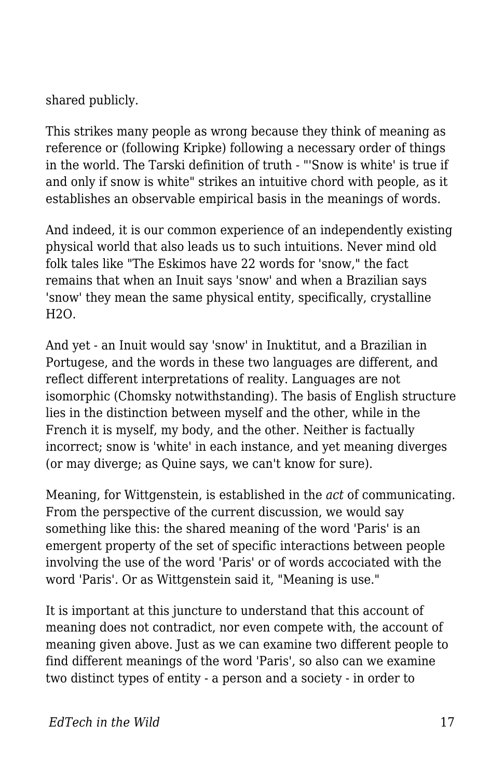shared publicly.

This strikes many people as wrong because they think of meaning as reference or (following Kripke) following a necessary order of things in the world. The Tarski definition of truth - "'Snow is white' is true if and only if snow is white" strikes an intuitive chord with people, as it establishes an observable empirical basis in the meanings of words.

And indeed, it is our common experience of an independently existing physical world that also leads us to such intuitions. Never mind old folk tales like "The Eskimos have 22 words for 'snow," the fact remains that when an Inuit says 'snow' and when a Brazilian says 'snow' they mean the same physical entity, specifically, crystalline H2O.

And yet - an Inuit would say 'snow' in Inuktitut, and a Brazilian in Portugese, and the words in these two languages are different, and reflect different interpretations of reality. Languages are not isomorphic (Chomsky notwithstanding). The basis of English structure lies in the distinction between myself and the other, while in the French it is myself, my body, and the other. Neither is factually incorrect; snow is 'white' in each instance, and yet meaning diverges (or may diverge; as Quine says, we can't know for sure).

Meaning, for Wittgenstein, is established in the *act* of communicating. From the perspective of the current discussion, we would say something like this: the shared meaning of the word 'Paris' is an emergent property of the set of specific interactions between people involving the use of the word 'Paris' or of words accociated with the word 'Paris'. Or as Wittgenstein said it, "Meaning is use."

It is important at this juncture to understand that this account of meaning does not contradict, nor even compete with, the account of meaning given above. Just as we can examine two different people to find different meanings of the word 'Paris', so also can we examine two distinct types of entity - a person and a society - in order to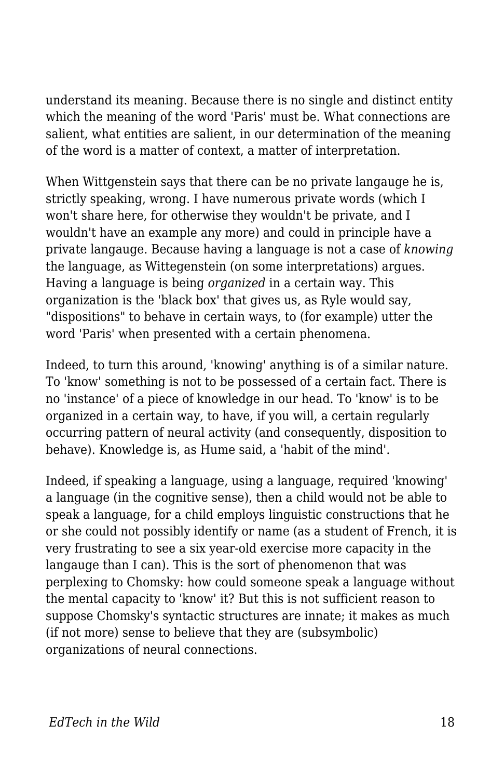understand its meaning. Because there is no single and distinct entity which the meaning of the word 'Paris' must be. What connections are salient, what entities are salient, in our determination of the meaning of the word is a matter of context, a matter of interpretation.

When Wittgenstein says that there can be no private langauge he is, strictly speaking, wrong. I have numerous private words (which I won't share here, for otherwise they wouldn't be private, and I wouldn't have an example any more) and could in principle have a private langauge. Because having a language is not a case of *knowing* the language, as Wittegenstein (on some interpretations) argues. Having a language is being *organized* in a certain way. This organization is the 'black box' that gives us, as Ryle would say, "dispositions" to behave in certain ways, to (for example) utter the word 'Paris' when presented with a certain phenomena.

Indeed, to turn this around, 'knowing' anything is of a similar nature. To 'know' something is not to be possessed of a certain fact. There is no 'instance' of a piece of knowledge in our head. To 'know' is to be organized in a certain way, to have, if you will, a certain regularly occurring pattern of neural activity (and consequently, disposition to behave). Knowledge is, as Hume said, a 'habit of the mind'.

Indeed, if speaking a language, using a language, required 'knowing' a language (in the cognitive sense), then a child would not be able to speak a language, for a child employs linguistic constructions that he or she could not possibly identify or name (as a student of French, it is very frustrating to see a six year-old exercise more capacity in the langauge than I can). This is the sort of phenomenon that was perplexing to Chomsky: how could someone speak a language without the mental capacity to 'know' it? But this is not sufficient reason to suppose Chomsky's syntactic structures are innate; it makes as much (if not more) sense to believe that they are (subsymbolic) organizations of neural connections.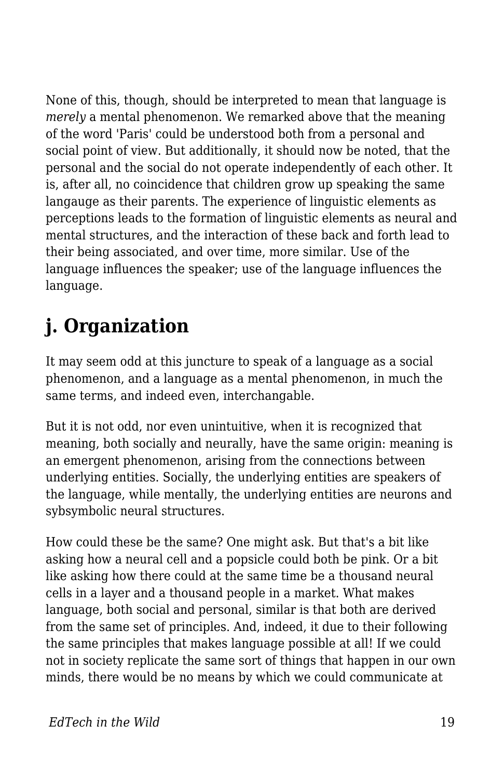None of this, though, should be interpreted to mean that language is *merely* a mental phenomenon. We remarked above that the meaning of the word 'Paris' could be understood both from a personal and social point of view. But additionally, it should now be noted, that the personal and the social do not operate independently of each other. It is, after all, no coincidence that children grow up speaking the same langauge as their parents. The experience of linguistic elements as perceptions leads to the formation of linguistic elements as neural and mental structures, and the interaction of these back and forth lead to their being associated, and over time, more similar. Use of the language influences the speaker; use of the language influences the language.

## **j. Organization**

It may seem odd at this juncture to speak of a language as a social phenomenon, and a language as a mental phenomenon, in much the same terms, and indeed even, interchangable.

But it is not odd, nor even unintuitive, when it is recognized that meaning, both socially and neurally, have the same origin: meaning is an emergent phenomenon, arising from the connections between underlying entities. Socially, the underlying entities are speakers of the language, while mentally, the underlying entities are neurons and sybsymbolic neural structures.

How could these be the same? One might ask. But that's a bit like asking how a neural cell and a popsicle could both be pink. Or a bit like asking how there could at the same time be a thousand neural cells in a layer and a thousand people in a market. What makes language, both social and personal, similar is that both are derived from the same set of principles. And, indeed, it due to their following the same principles that makes language possible at all! If we could not in society replicate the same sort of things that happen in our own minds, there would be no means by which we could communicate at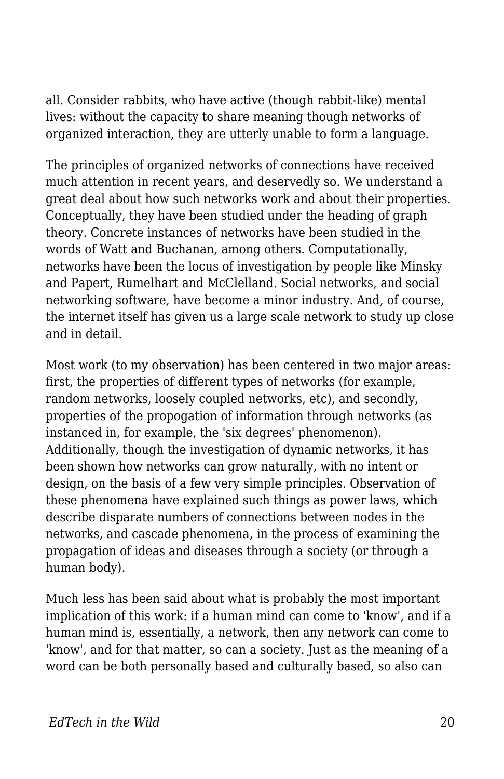all. Consider rabbits, who have active (though rabbit-like) mental lives: without the capacity to share meaning though networks of organized interaction, they are utterly unable to form a language.

The principles of organized networks of connections have received much attention in recent years, and deservedly so. We understand a great deal about how such networks work and about their properties. Conceptually, they have been studied under the heading of graph theory. Concrete instances of networks have been studied in the words of Watt and Buchanan, among others. Computationally, networks have been the locus of investigation by people like Minsky and Papert, Rumelhart and McClelland. Social networks, and social networking software, have become a minor industry. And, of course, the internet itself has given us a large scale network to study up close and in detail.

Most work (to my observation) has been centered in two major areas: first, the properties of different types of networks (for example, random networks, loosely coupled networks, etc), and secondly, properties of the propogation of information through networks (as instanced in, for example, the 'six degrees' phenomenon). Additionally, though the investigation of dynamic networks, it has been shown how networks can grow naturally, with no intent or design, on the basis of a few very simple principles. Observation of these phenomena have explained such things as power laws, which describe disparate numbers of connections between nodes in the networks, and cascade phenomena, in the process of examining the propagation of ideas and diseases through a society (or through a human body).

Much less has been said about what is probably the most important implication of this work: if a human mind can come to 'know', and if a human mind is, essentially, a network, then any network can come to 'know', and for that matter, so can a society. Just as the meaning of a word can be both personally based and culturally based, so also can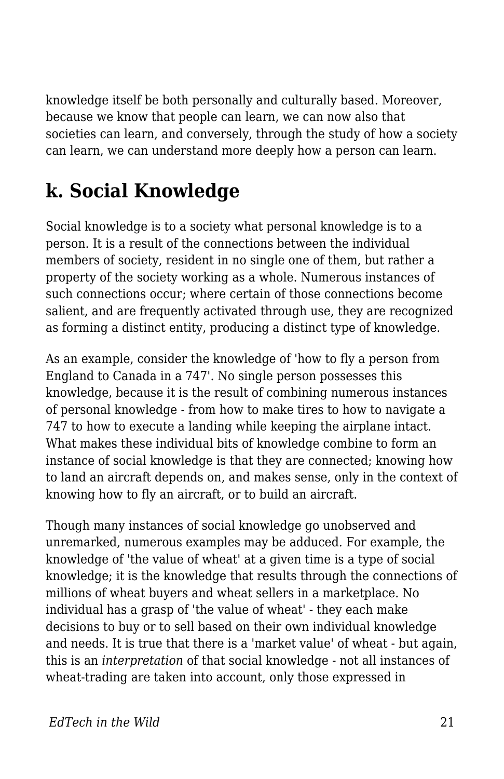knowledge itself be both personally and culturally based. Moreover, because we know that people can learn, we can now also that societies can learn, and conversely, through the study of how a society can learn, we can understand more deeply how a person can learn.

### **k. Social Knowledge**

Social knowledge is to a society what personal knowledge is to a person. It is a result of the connections between the individual members of society, resident in no single one of them, but rather a property of the society working as a whole. Numerous instances of such connections occur; where certain of those connections become salient, and are frequently activated through use, they are recognized as forming a distinct entity, producing a distinct type of knowledge.

As an example, consider the knowledge of 'how to fly a person from England to Canada in a 747'. No single person possesses this knowledge, because it is the result of combining numerous instances of personal knowledge - from how to make tires to how to navigate a 747 to how to execute a landing while keeping the airplane intact. What makes these individual bits of knowledge combine to form an instance of social knowledge is that they are connected; knowing how to land an aircraft depends on, and makes sense, only in the context of knowing how to fly an aircraft, or to build an aircraft.

Though many instances of social knowledge go unobserved and unremarked, numerous examples may be adduced. For example, the knowledge of 'the value of wheat' at a given time is a type of social knowledge; it is the knowledge that results through the connections of millions of wheat buyers and wheat sellers in a marketplace. No individual has a grasp of 'the value of wheat' - they each make decisions to buy or to sell based on their own individual knowledge and needs. It is true that there is a 'market value' of wheat - but again, this is an *interpretation* of that social knowledge - not all instances of wheat-trading are taken into account, only those expressed in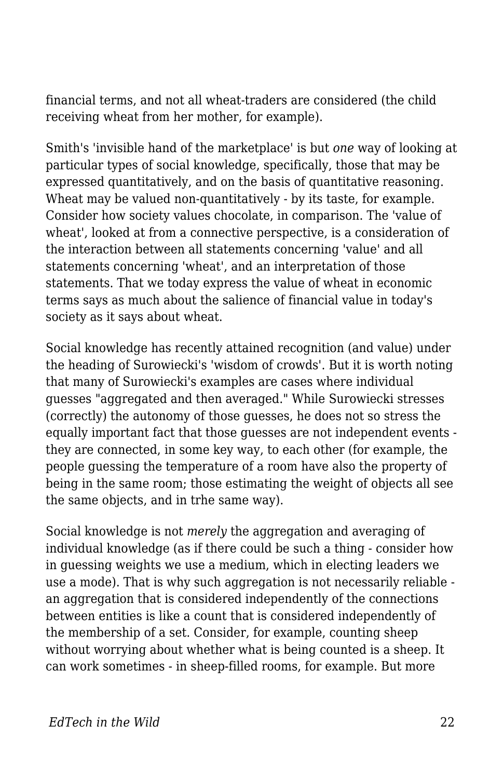financial terms, and not all wheat-traders are considered (the child receiving wheat from her mother, for example).

Smith's 'invisible hand of the marketplace' is but *one* way of looking at particular types of social knowledge, specifically, those that may be expressed quantitatively, and on the basis of quantitative reasoning. Wheat may be valued non-quantitatively - by its taste, for example. Consider how society values chocolate, in comparison. The 'value of wheat', looked at from a connective perspective, is a consideration of the interaction between all statements concerning 'value' and all statements concerning 'wheat', and an interpretation of those statements. That we today express the value of wheat in economic terms says as much about the salience of financial value in today's society as it says about wheat.

Social knowledge has recently attained recognition (and value) under the heading of Surowiecki's 'wisdom of crowds'. But it is worth noting that many of Surowiecki's examples are cases where individual guesses "aggregated and then averaged." While Surowiecki stresses (correctly) the autonomy of those guesses, he does not so stress the equally important fact that those guesses are not independent events they are connected, in some key way, to each other (for example, the people guessing the temperature of a room have also the property of being in the same room; those estimating the weight of objects all see the same objects, and in trhe same way).

Social knowledge is not *merely* the aggregation and averaging of individual knowledge (as if there could be such a thing - consider how in guessing weights we use a medium, which in electing leaders we use a mode). That is why such aggregation is not necessarily reliable an aggregation that is considered independently of the connections between entities is like a count that is considered independently of the membership of a set. Consider, for example, counting sheep without worrying about whether what is being counted is a sheep. It can work sometimes - in sheep-filled rooms, for example. But more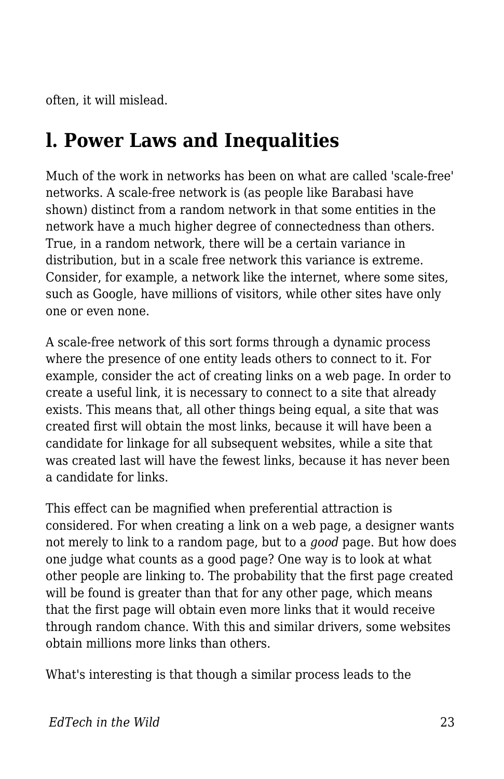often, it will mislead.

#### **l. Power Laws and Inequalities**

Much of the work in networks has been on what are called 'scale-free' networks. A scale-free network is (as people like Barabasi have shown) distinct from a random network in that some entities in the network have a much higher degree of connectedness than others. True, in a random network, there will be a certain variance in distribution, but in a scale free network this variance is extreme. Consider, for example, a network like the internet, where some sites, such as Google, have millions of visitors, while other sites have only one or even none.

A scale-free network of this sort forms through a dynamic process where the presence of one entity leads others to connect to it. For example, consider the act of creating links on a web page. In order to create a useful link, it is necessary to connect to a site that already exists. This means that, all other things being equal, a site that was created first will obtain the most links, because it will have been a candidate for linkage for all subsequent websites, while a site that was created last will have the fewest links, because it has never been a candidate for links.

This effect can be magnified when preferential attraction is considered. For when creating a link on a web page, a designer wants not merely to link to a random page, but to a *good* page. But how does one judge what counts as a good page? One way is to look at what other people are linking to. The probability that the first page created will be found is greater than that for any other page, which means that the first page will obtain even more links that it would receive through random chance. With this and similar drivers, some websites obtain millions more links than others.

What's interesting is that though a similar process leads to the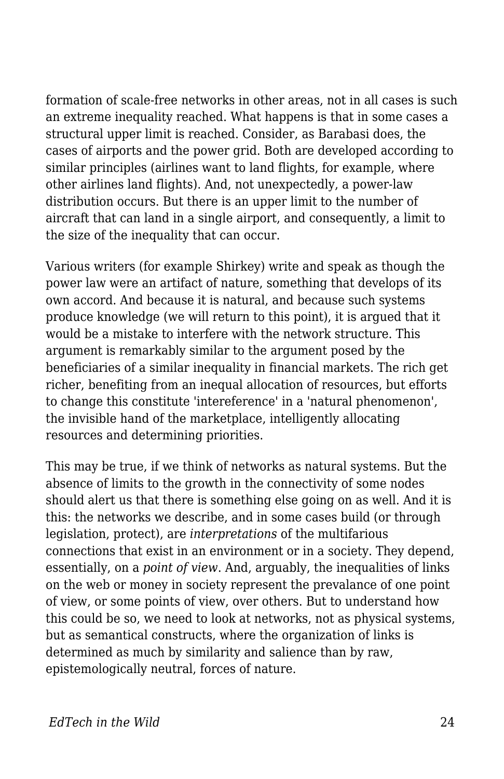formation of scale-free networks in other areas, not in all cases is such an extreme inequality reached. What happens is that in some cases a structural upper limit is reached. Consider, as Barabasi does, the cases of airports and the power grid. Both are developed according to similar principles (airlines want to land flights, for example, where other airlines land flights). And, not unexpectedly, a power-law distribution occurs. But there is an upper limit to the number of aircraft that can land in a single airport, and consequently, a limit to the size of the inequality that can occur.

Various writers (for example Shirkey) write and speak as though the power law were an artifact of nature, something that develops of its own accord. And because it is natural, and because such systems produce knowledge (we will return to this point), it is argued that it would be a mistake to interfere with the network structure. This argument is remarkably similar to the argument posed by the beneficiaries of a similar inequality in financial markets. The rich get richer, benefiting from an inequal allocation of resources, but efforts to change this constitute 'intereference' in a 'natural phenomenon', the invisible hand of the marketplace, intelligently allocating resources and determining priorities.

This may be true, if we think of networks as natural systems. But the absence of limits to the growth in the connectivity of some nodes should alert us that there is something else going on as well. And it is this: the networks we describe, and in some cases build (or through legislation, protect), are *interpretations* of the multifarious connections that exist in an environment or in a society. They depend, essentially, on a *point of view*. And, arguably, the inequalities of links on the web or money in society represent the prevalance of one point of view, or some points of view, over others. But to understand how this could be so, we need to look at networks, not as physical systems, but as semantical constructs, where the organization of links is determined as much by similarity and salience than by raw, epistemologically neutral, forces of nature.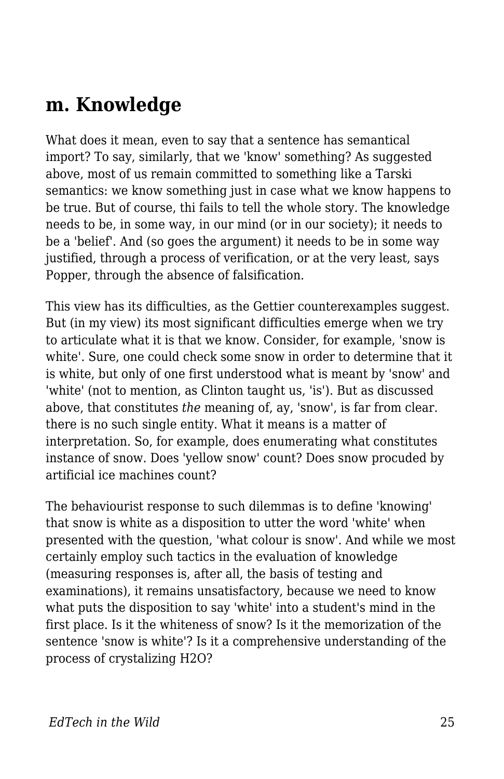#### **m. Knowledge**

What does it mean, even to say that a sentence has semantical import? To say, similarly, that we 'know' something? As suggested above, most of us remain committed to something like a Tarski semantics: we know something just in case what we know happens to be true. But of course, thi fails to tell the whole story. The knowledge needs to be, in some way, in our mind (or in our society); it needs to be a 'belief'. And (so goes the argument) it needs to be in some way justified, through a process of verification, or at the very least, says Popper, through the absence of falsification.

This view has its difficulties, as the Gettier counterexamples suggest. But (in my view) its most significant difficulties emerge when we try to articulate what it is that we know. Consider, for example, 'snow is white'. Sure, one could check some snow in order to determine that it is white, but only of one first understood what is meant by 'snow' and 'white' (not to mention, as Clinton taught us, 'is'). But as discussed above, that constitutes *the* meaning of, ay, 'snow', is far from clear. there is no such single entity. What it means is a matter of interpretation. So, for example, does enumerating what constitutes instance of snow. Does 'yellow snow' count? Does snow procuded by artificial ice machines count?

The behaviourist response to such dilemmas is to define 'knowing' that snow is white as a disposition to utter the word 'white' when presented with the question, 'what colour is snow'. And while we most certainly employ such tactics in the evaluation of knowledge (measuring responses is, after all, the basis of testing and examinations), it remains unsatisfactory, because we need to know what puts the disposition to say 'white' into a student's mind in the first place. Is it the whiteness of snow? Is it the memorization of the sentence 'snow is white'? Is it a comprehensive understanding of the process of crystalizing H2O?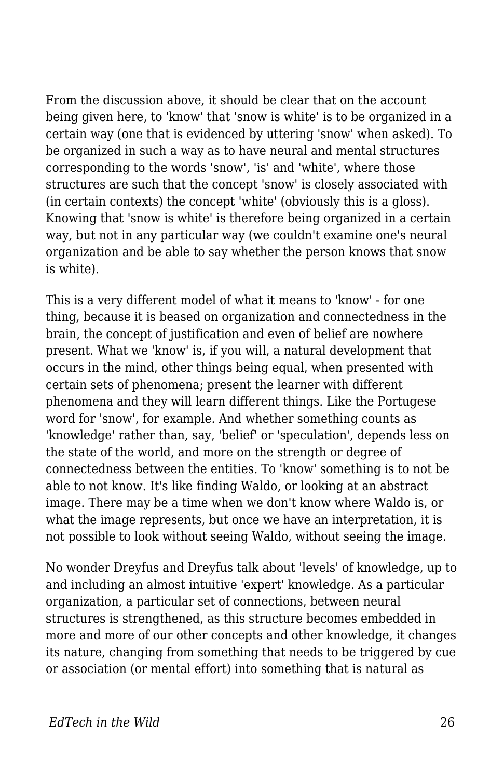From the discussion above, it should be clear that on the account being given here, to 'know' that 'snow is white' is to be organized in a certain way (one that is evidenced by uttering 'snow' when asked). To be organized in such a way as to have neural and mental structures corresponding to the words 'snow', 'is' and 'white', where those structures are such that the concept 'snow' is closely associated with (in certain contexts) the concept 'white' (obviously this is a gloss). Knowing that 'snow is white' is therefore being organized in a certain way, but not in any particular way (we couldn't examine one's neural organization and be able to say whether the person knows that snow is white).

This is a very different model of what it means to 'know' - for one thing, because it is beased on organization and connectedness in the brain, the concept of justification and even of belief are nowhere present. What we 'know' is, if you will, a natural development that occurs in the mind, other things being equal, when presented with certain sets of phenomena; present the learner with different phenomena and they will learn different things. Like the Portugese word for 'snow', for example. And whether something counts as 'knowledge' rather than, say, 'belief' or 'speculation', depends less on the state of the world, and more on the strength or degree of connectedness between the entities. To 'know' something is to not be able to not know. It's like finding Waldo, or looking at an abstract image. There may be a time when we don't know where Waldo is, or what the image represents, but once we have an interpretation, it is not possible to look without seeing Waldo, without seeing the image.

No wonder Dreyfus and Dreyfus talk about 'levels' of knowledge, up to and including an almost intuitive 'expert' knowledge. As a particular organization, a particular set of connections, between neural structures is strengthened, as this structure becomes embedded in more and more of our other concepts and other knowledge, it changes its nature, changing from something that needs to be triggered by cue or association (or mental effort) into something that is natural as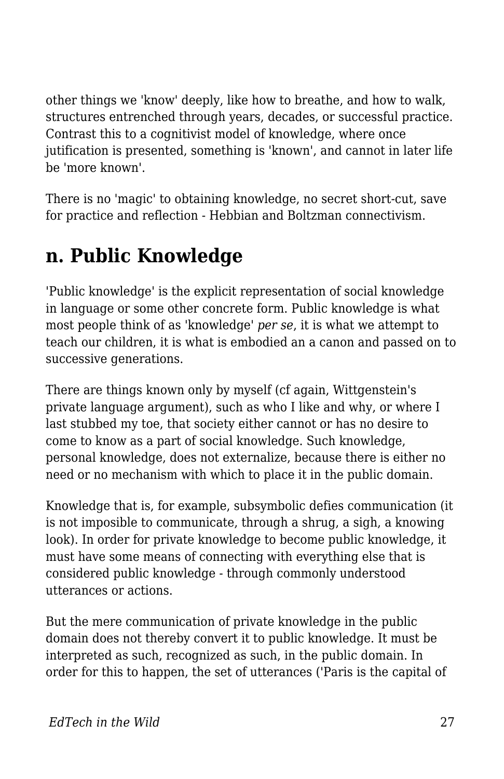other things we 'know' deeply, like how to breathe, and how to walk, structures entrenched through years, decades, or successful practice. Contrast this to a cognitivist model of knowledge, where once jutification is presented, something is 'known', and cannot in later life be 'more known'.

There is no 'magic' to obtaining knowledge, no secret short-cut, save for practice and reflection - Hebbian and Boltzman connectivism.

#### **n. Public Knowledge**

'Public knowledge' is the explicit representation of social knowledge in language or some other concrete form. Public knowledge is what most people think of as 'knowledge' *per se*, it is what we attempt to teach our children, it is what is embodied an a canon and passed on to successive generations.

There are things known only by myself (cf again, Wittgenstein's private language argument), such as who I like and why, or where I last stubbed my toe, that society either cannot or has no desire to come to know as a part of social knowledge. Such knowledge, personal knowledge, does not externalize, because there is either no need or no mechanism with which to place it in the public domain.

Knowledge that is, for example, subsymbolic defies communication (it is not imposible to communicate, through a shrug, a sigh, a knowing look). In order for private knowledge to become public knowledge, it must have some means of connecting with everything else that is considered public knowledge - through commonly understood utterances or actions.

But the mere communication of private knowledge in the public domain does not thereby convert it to public knowledge. It must be interpreted as such, recognized as such, in the public domain. In order for this to happen, the set of utterances ('Paris is the capital of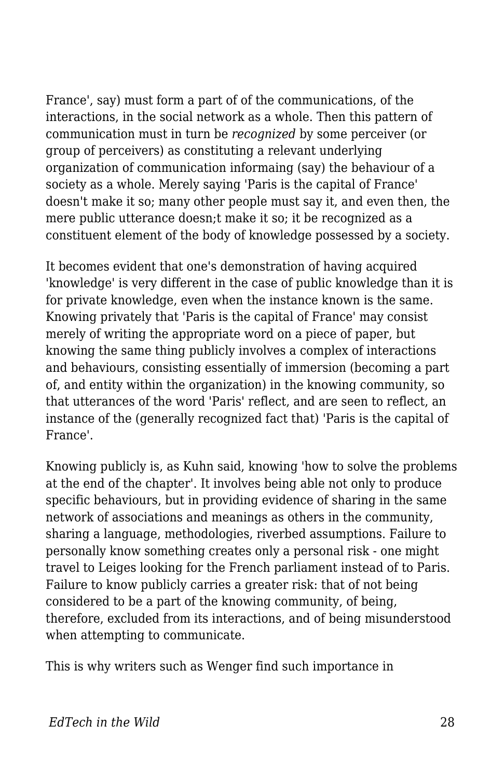France', say) must form a part of of the communications, of the interactions, in the social network as a whole. Then this pattern of communication must in turn be *recognized* by some perceiver (or group of perceivers) as constituting a relevant underlying organization of communication informaing (say) the behaviour of a society as a whole. Merely saying 'Paris is the capital of France' doesn't make it so; many other people must say it, and even then, the mere public utterance doesn;t make it so; it be recognized as a constituent element of the body of knowledge possessed by a society.

It becomes evident that one's demonstration of having acquired 'knowledge' is very different in the case of public knowledge than it is for private knowledge, even when the instance known is the same. Knowing privately that 'Paris is the capital of France' may consist merely of writing the appropriate word on a piece of paper, but knowing the same thing publicly involves a complex of interactions and behaviours, consisting essentially of immersion (becoming a part of, and entity within the organization) in the knowing community, so that utterances of the word 'Paris' reflect, and are seen to reflect, an instance of the (generally recognized fact that) 'Paris is the capital of France'.

Knowing publicly is, as Kuhn said, knowing 'how to solve the problems at the end of the chapter'. It involves being able not only to produce specific behaviours, but in providing evidence of sharing in the same network of associations and meanings as others in the community, sharing a language, methodologies, riverbed assumptions. Failure to personally know something creates only a personal risk - one might travel to Leiges looking for the French parliament instead of to Paris. Failure to know publicly carries a greater risk: that of not being considered to be a part of the knowing community, of being, therefore, excluded from its interactions, and of being misunderstood when attempting to communicate.

This is why writers such as Wenger find such importance in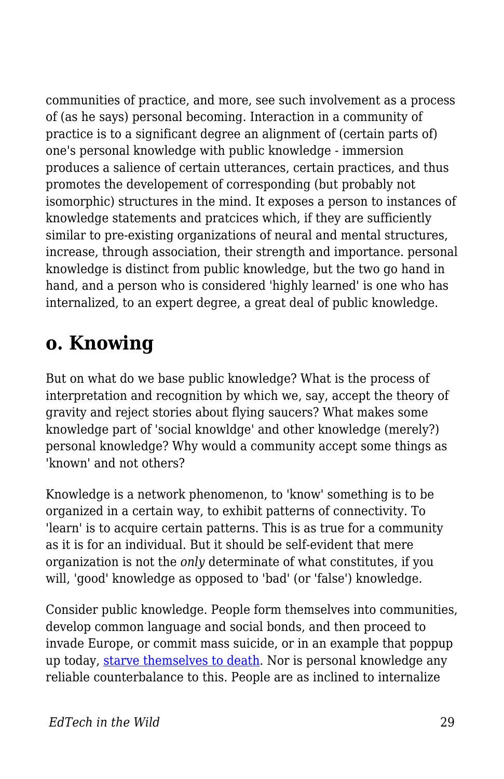communities of practice, and more, see such involvement as a process of (as he says) personal becoming. Interaction in a community of practice is to a significant degree an alignment of (certain parts of) one's personal knowledge with public knowledge - immersion produces a salience of certain utterances, certain practices, and thus promotes the developement of corresponding (but probably not isomorphic) structures in the mind. It exposes a person to instances of knowledge statements and pratcices which, if they are sufficiently similar to pre-existing organizations of neural and mental structures, increase, through association, their strength and importance. personal knowledge is distinct from public knowledge, but the two go hand in hand, and a person who is considered 'highly learned' is one who has internalized, to an expert degree, a great deal of public knowledge.

#### **o. Knowing**

But on what do we base public knowledge? What is the process of interpretation and recognition by which we, say, accept the theory of gravity and reject stories about flying saucers? What makes some knowledge part of 'social knowldge' and other knowledge (merely?) personal knowledge? Why would a community accept some things as 'known' and not others?

Knowledge is a network phenomenon, to 'know' something is to be organized in a certain way, to exhibit patterns of connectivity. To 'learn' is to acquire certain patterns. This is as true for a community as it is for an individual. But it should be self-evident that mere organization is not the *only* determinate of what constitutes, if you will, 'good' knowledge as opposed to 'bad' (or 'false') knowledge.

Consider public knowledge. People form themselves into communities, develop common language and social bonds, and then proceed to invade Europe, or commit mass suicide, or in an example that poppup up today, [starve themselves to death](http://fraser.typepad.com/edtechuk/2005/12/community.html). Nor is personal knowledge any reliable counterbalance to this. People are as inclined to internalize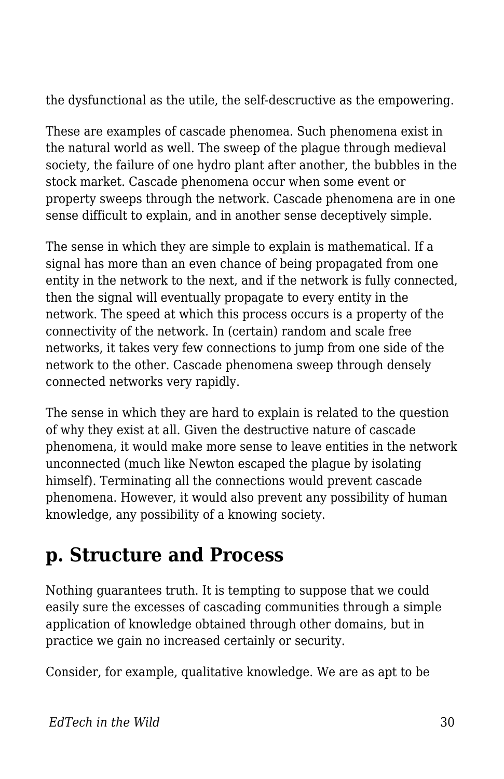the dysfunctional as the utile, the self-descructive as the empowering.

These are examples of cascade phenomea. Such phenomena exist in the natural world as well. The sweep of the plague through medieval society, the failure of one hydro plant after another, the bubbles in the stock market. Cascade phenomena occur when some event or property sweeps through the network. Cascade phenomena are in one sense difficult to explain, and in another sense deceptively simple.

The sense in which they are simple to explain is mathematical. If a signal has more than an even chance of being propagated from one entity in the network to the next, and if the network is fully connected, then the signal will eventually propagate to every entity in the network. The speed at which this process occurs is a property of the connectivity of the network. In (certain) random and scale free networks, it takes very few connections to jump from one side of the network to the other. Cascade phenomena sweep through densely connected networks very rapidly.

The sense in which they are hard to explain is related to the question of why they exist at all. Given the destructive nature of cascade phenomena, it would make more sense to leave entities in the network unconnected (much like Newton escaped the plague by isolating himself). Terminating all the connections would prevent cascade phenomena. However, it would also prevent any possibility of human knowledge, any possibility of a knowing society.

#### **p. Structure and Process**

Nothing guarantees truth. It is tempting to suppose that we could easily sure the excesses of cascading communities through a simple application of knowledge obtained through other domains, but in practice we gain no increased certainly or security.

Consider, for example, qualitative knowledge. We are as apt to be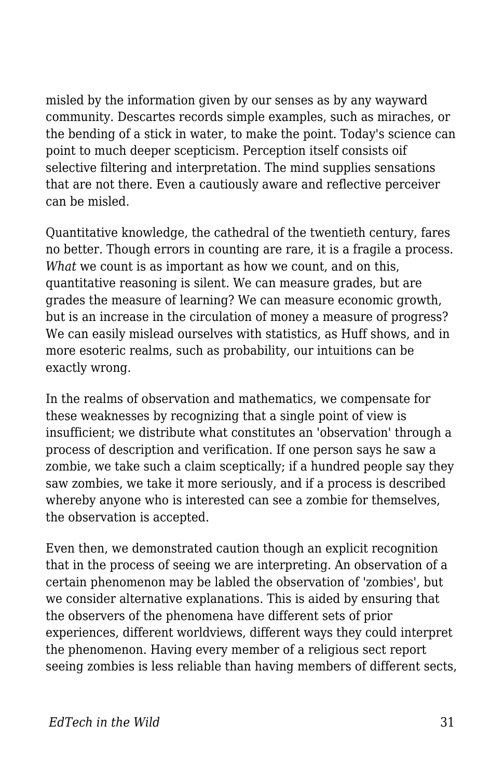misled by the information given by our senses as by any wayward community. Descartes records simple examples, such as miraches, or the bending of a stick in water, to make the point. Today's science can point to much deeper scepticism. Perception itself consists oif selective filtering and interpretation. The mind supplies sensations that are not there. Even a cautiously aware and reflective perceiver can be misled.

Quantitative knowledge, the cathedral of the twentieth century, fares no better. Though errors in counting are rare, it is a fragile a process. *What* we count is as important as how we count, and on this, quantitative reasoning is silent. We can measure grades, but are grades the measure of learning? We can measure economic growth, but is an increase in the circulation of money a measure of progress? We can easily mislead ourselves with statistics, as Huff shows, and in more esoteric realms, such as probability, our intuitions can be exactly wrong.

In the realms of observation and mathematics, we compensate for these weaknesses by recognizing that a single point of view is insufficient; we distribute what constitutes an 'observation' through a process of description and verification. If one person says he saw a zombie, we take such a claim sceptically; if a hundred people say they saw zombies, we take it more seriously, and if a process is described whereby anyone who is interested can see a zombie for themselves, the observation is accepted.

Even then, we demonstrated caution though an explicit recognition that in the process of seeing we are interpreting. An observation of a certain phenomenon may be labled the observation of 'zombies', but we consider alternative explanations. This is aided by ensuring that the observers of the phenomena have different sets of prior experiences, different worldviews, different ways they could interpret the phenomenon. Having every member of a religious sect report seeing zombies is less reliable than having members of different sects,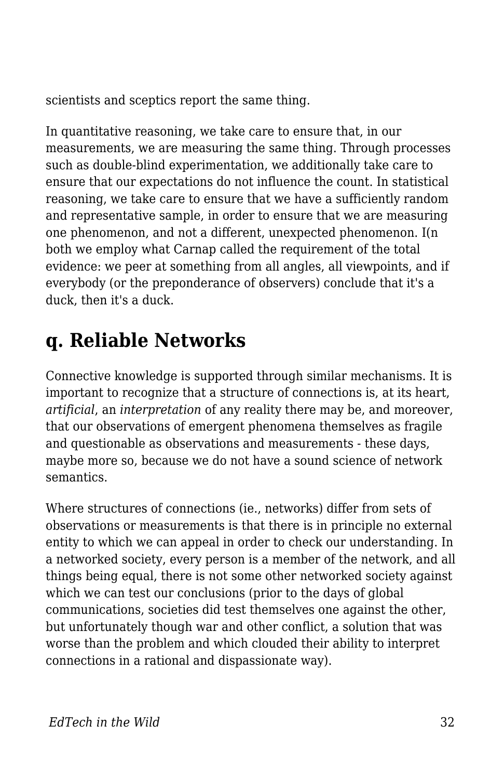scientists and sceptics report the same thing.

In quantitative reasoning, we take care to ensure that, in our measurements, we are measuring the same thing. Through processes such as double-blind experimentation, we additionally take care to ensure that our expectations do not influence the count. In statistical reasoning, we take care to ensure that we have a sufficiently random and representative sample, in order to ensure that we are measuring one phenomenon, and not a different, unexpected phenomenon. I(n both we employ what Carnap called the requirement of the total evidence: we peer at something from all angles, all viewpoints, and if everybody (or the preponderance of observers) conclude that it's a duck, then it's a duck.

#### **q. Reliable Networks**

Connective knowledge is supported through similar mechanisms. It is important to recognize that a structure of connections is, at its heart, *artificial*, an *interpretation* of any reality there may be, and moreover, that our observations of emergent phenomena themselves as fragile and questionable as observations and measurements - these days, maybe more so, because we do not have a sound science of network semantics.

Where structures of connections (ie., networks) differ from sets of observations or measurements is that there is in principle no external entity to which we can appeal in order to check our understanding. In a networked society, every person is a member of the network, and all things being equal, there is not some other networked society against which we can test our conclusions (prior to the days of global communications, societies did test themselves one against the other, but unfortunately though war and other conflict, a solution that was worse than the problem and which clouded their ability to interpret connections in a rational and dispassionate way).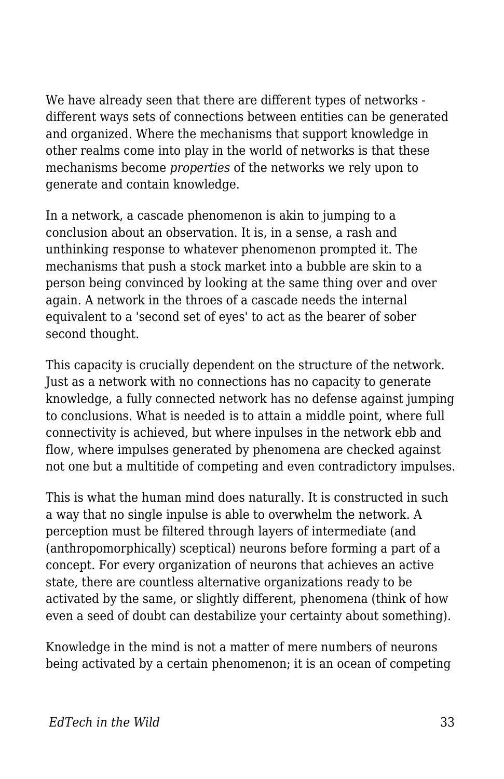We have already seen that there are different types of networks different ways sets of connections between entities can be generated and organized. Where the mechanisms that support knowledge in other realms come into play in the world of networks is that these mechanisms become *properties* of the networks we rely upon to generate and contain knowledge.

In a network, a cascade phenomenon is akin to jumping to a conclusion about an observation. It is, in a sense, a rash and unthinking response to whatever phenomenon prompted it. The mechanisms that push a stock market into a bubble are skin to a person being convinced by looking at the same thing over and over again. A network in the throes of a cascade needs the internal equivalent to a 'second set of eyes' to act as the bearer of sober second thought.

This capacity is crucially dependent on the structure of the network. Just as a network with no connections has no capacity to generate knowledge, a fully connected network has no defense against jumping to conclusions. What is needed is to attain a middle point, where full connectivity is achieved, but where inpulses in the network ebb and flow, where impulses generated by phenomena are checked against not one but a multitide of competing and even contradictory impulses.

This is what the human mind does naturally. It is constructed in such a way that no single inpulse is able to overwhelm the network. A perception must be filtered through layers of intermediate (and (anthropomorphically) sceptical) neurons before forming a part of a concept. For every organization of neurons that achieves an active state, there are countless alternative organizations ready to be activated by the same, or slightly different, phenomena (think of how even a seed of doubt can destabilize your certainty about something).

Knowledge in the mind is not a matter of mere numbers of neurons being activated by a certain phenomenon; it is an ocean of competing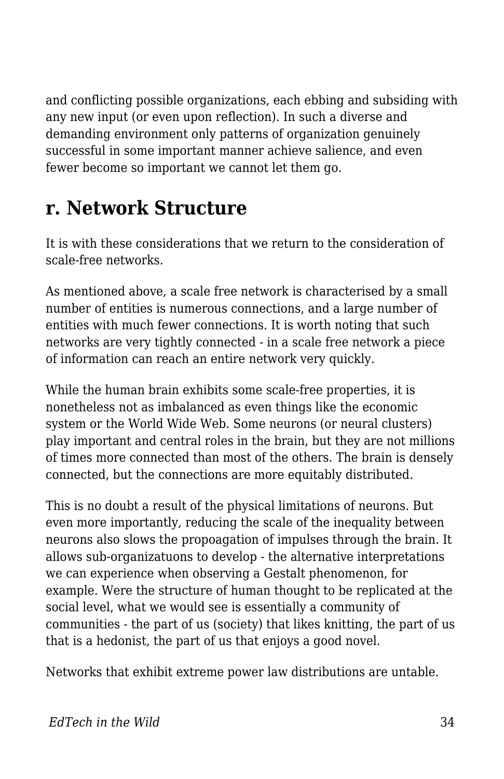and conflicting possible organizations, each ebbing and subsiding with any new input (or even upon reflection). In such a diverse and demanding environment only patterns of organization genuinely successful in some important manner achieve salience, and even fewer become so important we cannot let them go.

#### **r. Network Structure**

It is with these considerations that we return to the consideration of scale-free networks.

As mentioned above, a scale free network is characterised by a small number of entities is numerous connections, and a large number of entities with much fewer connections. It is worth noting that such networks are very tightly connected - in a scale free network a piece of information can reach an entire network very quickly.

While the human brain exhibits some scale-free properties, it is nonetheless not as imbalanced as even things like the economic system or the World Wide Web. Some neurons (or neural clusters) play important and central roles in the brain, but they are not millions of times more connected than most of the others. The brain is densely connected, but the connections are more equitably distributed.

This is no doubt a result of the physical limitations of neurons. But even more importantly, reducing the scale of the inequality between neurons also slows the propoagation of impulses through the brain. It allows sub-organizatuons to develop - the alternative interpretations we can experience when observing a Gestalt phenomenon, for example. Were the structure of human thought to be replicated at the social level, what we would see is essentially a community of communities - the part of us (society) that likes knitting, the part of us that is a hedonist, the part of us that enjoys a good novel.

Networks that exhibit extreme power law distributions are untable.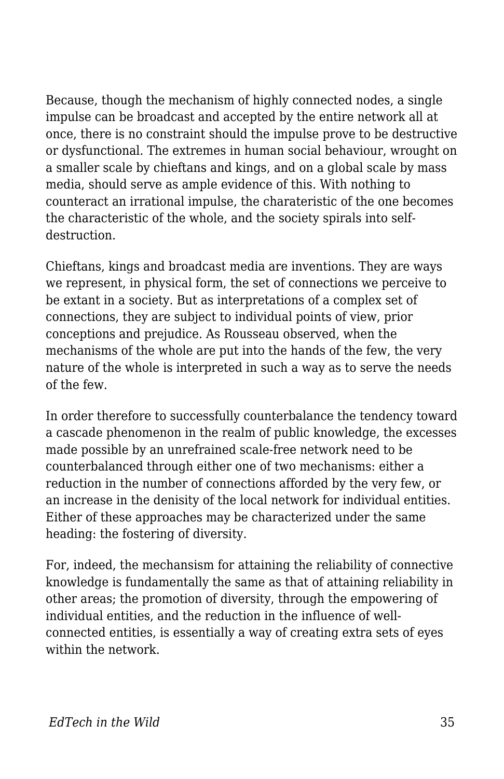Because, though the mechanism of highly connected nodes, a single impulse can be broadcast and accepted by the entire network all at once, there is no constraint should the impulse prove to be destructive or dysfunctional. The extremes in human social behaviour, wrought on a smaller scale by chieftans and kings, and on a global scale by mass media, should serve as ample evidence of this. With nothing to counteract an irrational impulse, the charateristic of the one becomes the characteristic of the whole, and the society spirals into selfdestruction.

Chieftans, kings and broadcast media are inventions. They are ways we represent, in physical form, the set of connections we perceive to be extant in a society. But as interpretations of a complex set of connections, they are subject to individual points of view, prior conceptions and prejudice. As Rousseau observed, when the mechanisms of the whole are put into the hands of the few, the very nature of the whole is interpreted in such a way as to serve the needs of the few.

In order therefore to successfully counterbalance the tendency toward a cascade phenomenon in the realm of public knowledge, the excesses made possible by an unrefrained scale-free network need to be counterbalanced through either one of two mechanisms: either a reduction in the number of connections afforded by the very few, or an increase in the denisity of the local network for individual entities. Either of these approaches may be characterized under the same heading: the fostering of diversity.

For, indeed, the mechansism for attaining the reliability of connective knowledge is fundamentally the same as that of attaining reliability in other areas; the promotion of diversity, through the empowering of individual entities, and the reduction in the influence of wellconnected entities, is essentially a way of creating extra sets of eyes within the network.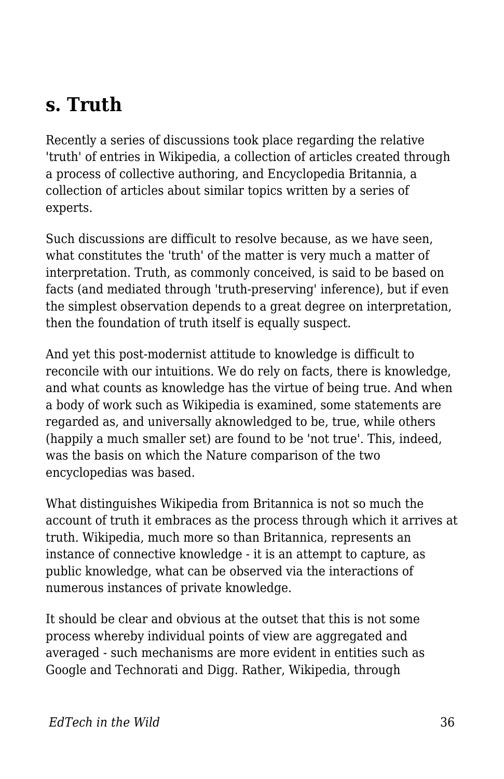#### **s. Truth**

Recently a series of discussions took place regarding the relative 'truth' of entries in Wikipedia, a collection of articles created through a process of collective authoring, and Encyclopedia Britannia, a collection of articles about similar topics written by a series of experts.

Such discussions are difficult to resolve because, as we have seen, what constitutes the 'truth' of the matter is very much a matter of interpretation. Truth, as commonly conceived, is said to be based on facts (and mediated through 'truth-preserving' inference), but if even the simplest observation depends to a great degree on interpretation, then the foundation of truth itself is equally suspect.

And yet this post-modernist attitude to knowledge is difficult to reconcile with our intuitions. We do rely on facts, there is knowledge, and what counts as knowledge has the virtue of being true. And when a body of work such as Wikipedia is examined, some statements are regarded as, and universally aknowledged to be, true, while others (happily a much smaller set) are found to be 'not true'. This, indeed, was the basis on which the Nature comparison of the two encyclopedias was based.

What distinguishes Wikipedia from Britannica is not so much the account of truth it embraces as the process through which it arrives at truth. Wikipedia, much more so than Britannica, represents an instance of connective knowledge - it is an attempt to capture, as public knowledge, what can be observed via the interactions of numerous instances of private knowledge.

It should be clear and obvious at the outset that this is not some process whereby individual points of view are aggregated and averaged - such mechanisms are more evident in entities such as Google and Technorati and Digg. Rather, Wikipedia, through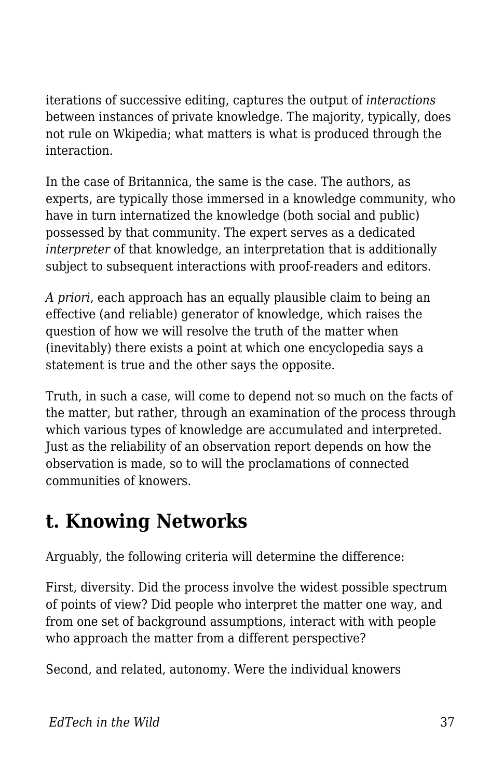iterations of successive editing, captures the output of *interactions* between instances of private knowledge. The majority, typically, does not rule on Wkipedia; what matters is what is produced through the interaction.

In the case of Britannica, the same is the case. The authors, as experts, are typically those immersed in a knowledge community, who have in turn internatized the knowledge (both social and public) possessed by that community. The expert serves as a dedicated *interpreter* of that knowledge, an interpretation that is additionally subject to subsequent interactions with proof-readers and editors.

*A priori*, each approach has an equally plausible claim to being an effective (and reliable) generator of knowledge, which raises the question of how we will resolve the truth of the matter when (inevitably) there exists a point at which one encyclopedia says a statement is true and the other says the opposite.

Truth, in such a case, will come to depend not so much on the facts of the matter, but rather, through an examination of the process through which various types of knowledge are accumulated and interpreted. Just as the reliability of an observation report depends on how the observation is made, so to will the proclamations of connected communities of knowers.

#### **t. Knowing Networks**

Arguably, the following criteria will determine the difference:

First, diversity. Did the process involve the widest possible spectrum of points of view? Did people who interpret the matter one way, and from one set of background assumptions, interact with with people who approach the matter from a different perspective?

Second, and related, autonomy. Were the individual knowers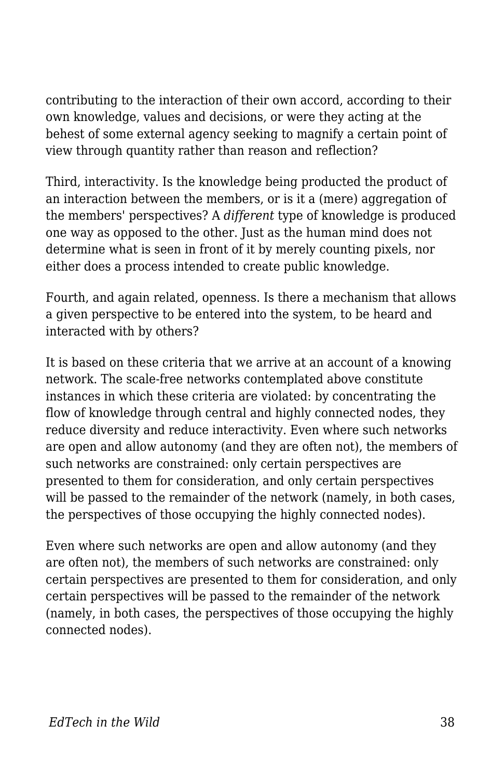contributing to the interaction of their own accord, according to their own knowledge, values and decisions, or were they acting at the behest of some external agency seeking to magnify a certain point of view through quantity rather than reason and reflection?

Third, interactivity. Is the knowledge being producted the product of an interaction between the members, or is it a (mere) aggregation of the members' perspectives? A *different* type of knowledge is produced one way as opposed to the other. Just as the human mind does not determine what is seen in front of it by merely counting pixels, nor either does a process intended to create public knowledge.

Fourth, and again related, openness. Is there a mechanism that allows a given perspective to be entered into the system, to be heard and interacted with by others?

It is based on these criteria that we arrive at an account of a knowing network. The scale-free networks contemplated above constitute instances in which these criteria are violated: by concentrating the flow of knowledge through central and highly connected nodes, they reduce diversity and reduce interactivity. Even where such networks are open and allow autonomy (and they are often not), the members of such networks are constrained: only certain perspectives are presented to them for consideration, and only certain perspectives will be passed to the remainder of the network (namely, in both cases, the perspectives of those occupying the highly connected nodes).

Even where such networks are open and allow autonomy (and they are often not), the members of such networks are constrained: only certain perspectives are presented to them for consideration, and only certain perspectives will be passed to the remainder of the network (namely, in both cases, the perspectives of those occupying the highly connected nodes).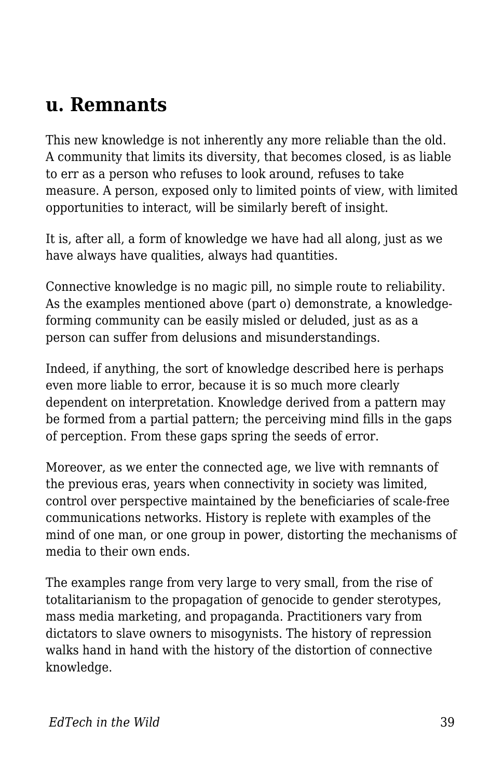#### **u. Remnants**

This new knowledge is not inherently any more reliable than the old. A community that limits its diversity, that becomes closed, is as liable to err as a person who refuses to look around, refuses to take measure. A person, exposed only to limited points of view, with limited opportunities to interact, will be similarly bereft of insight.

It is, after all, a form of knowledge we have had all along, just as we have always have qualities, always had quantities.

Connective knowledge is no magic pill, no simple route to reliability. As the examples mentioned above (part o) demonstrate, a knowledgeforming community can be easily misled or deluded, just as as a person can suffer from delusions and misunderstandings.

Indeed, if anything, the sort of knowledge described here is perhaps even more liable to error, because it is so much more clearly dependent on interpretation. Knowledge derived from a pattern may be formed from a partial pattern; the perceiving mind fills in the gaps of perception. From these gaps spring the seeds of error.

Moreover, as we enter the connected age, we live with remnants of the previous eras, years when connectivity in society was limited, control over perspective maintained by the beneficiaries of scale-free communications networks. History is replete with examples of the mind of one man, or one group in power, distorting the mechanisms of media to their own ends.

The examples range from very large to very small, from the rise of totalitarianism to the propagation of genocide to gender sterotypes, mass media marketing, and propaganda. Practitioners vary from dictators to slave owners to misogynists. The history of repression walks hand in hand with the history of the distortion of connective knowledge.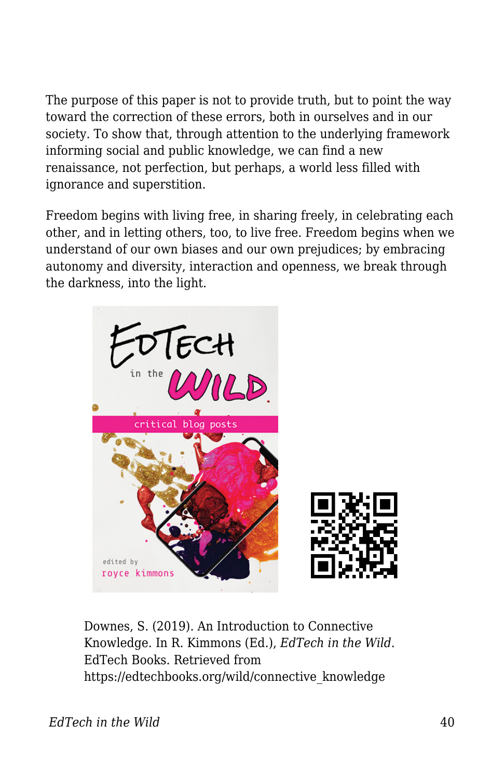The purpose of this paper is not to provide truth, but to point the way toward the correction of these errors, both in ourselves and in our society. To show that, through attention to the underlying framework informing social and public knowledge, we can find a new renaissance, not perfection, but perhaps, a world less filled with ignorance and superstition.

Freedom begins with living free, in sharing freely, in celebrating each other, and in letting others, too, to live free. Freedom begins when we understand of our own biases and our own prejudices; by embracing autonomy and diversity, interaction and openness, we break through the darkness, into the light.



Downes, S. (2019). An Introduction to Connective Knowledge. In R. Kimmons (Ed.), *EdTech in the Wild*. EdTech Books. Retrieved from https://edtechbooks.org/wild/connective\_knowledge